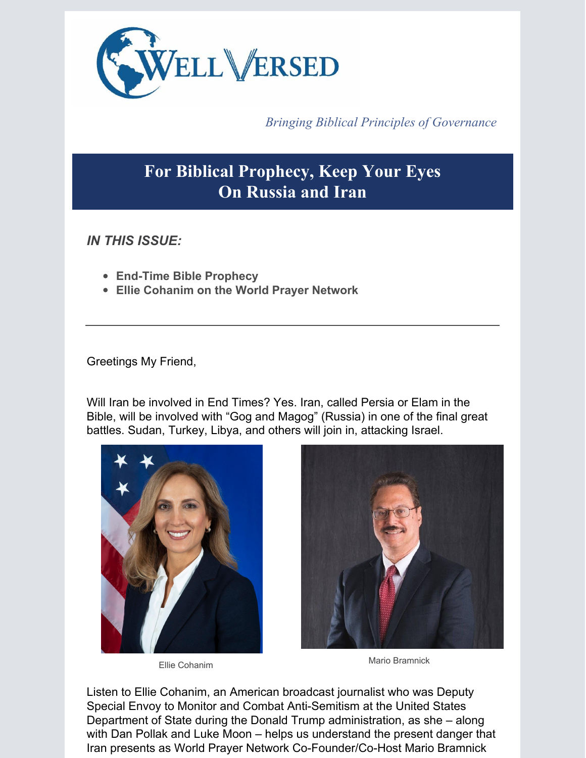

*Bringing Biblical Principles of Governance*

# **For Biblical Prophecy, Keep Your Eyes On Russia and Iran**

*IN THIS ISSUE:*

- **End-Time Bible Prophecy**
- **Ellie Cohanim on the World Prayer Network**

Greetings My Friend,

Will Iran be involved in End Times? Yes. Iran, called Persia or Elam in the Bible, will be involved with "Gog and Magog" (Russia) in one of the final great battles. Sudan, Turkey, Libya, and others will join in, attacking Israel.



Ellie Cohanim



Mario Bramnick

Listen to Ellie Cohanim, an American broadcast journalist who was Deputy Special Envoy to Monitor and Combat Anti-Semitism at the United States Department of State during the Donald Trump administration, as she – along with Dan Pollak and Luke Moon – helps us understand the present danger that Iran presents as World Prayer Network Co-Founder/Co-Host Mario Bramnick